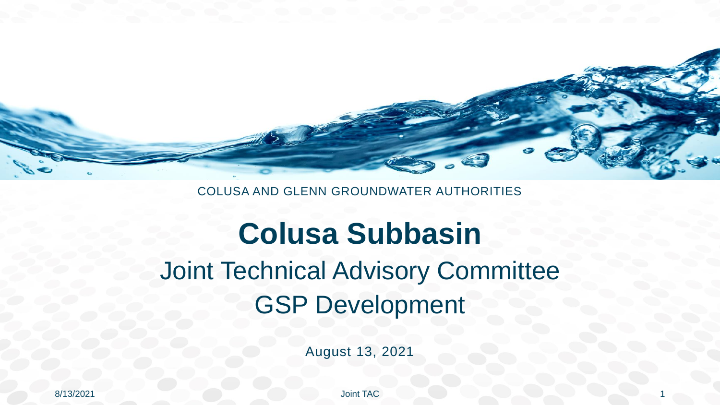

#### COLUSA AND GLENN GROUNDWATER AUTHORITIES

#### **Colusa Subbasin**  Joint Technical Advisory Committee GSP Development

August 13, 2021

8/13/2021 Joint TAC 1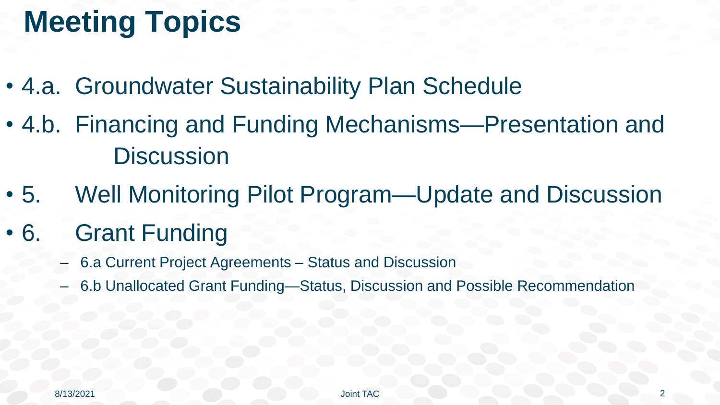#### **Meeting Topics**

- 4.a. Groundwater Sustainability Plan Schedule
- 4.b. Financing and Funding Mechanisms—Presentation and **Discussion**
- 5. Well Monitoring Pilot Program—Update and Discussion
- 6. Grant Funding
	- 6.a Current Project Agreements Status and Discussion
	- 6.b Unallocated Grant Funding—Status, Discussion and Possible Recommendation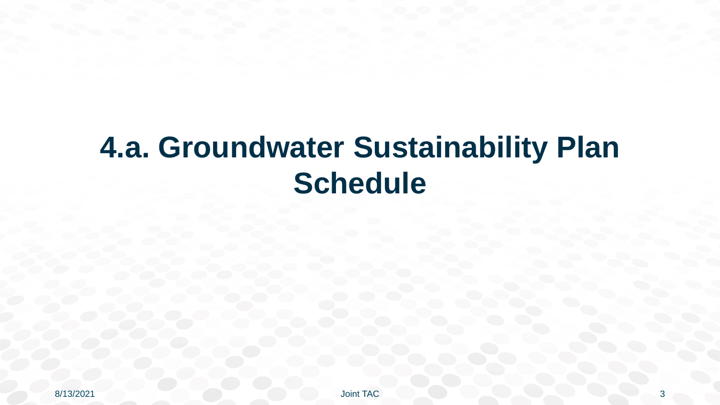#### **4.a. Groundwater Sustainability Plan Schedule**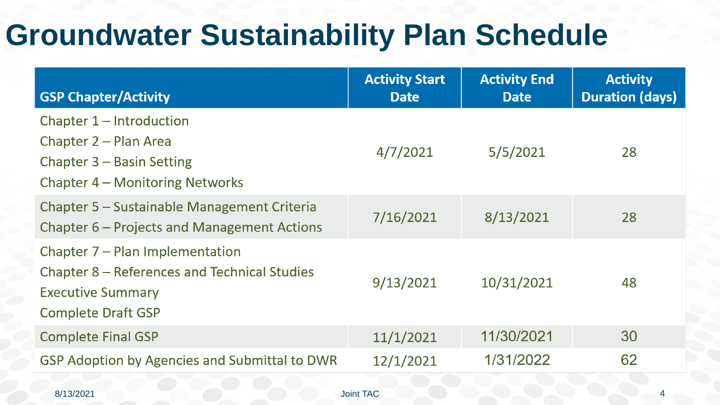#### **Groundwater Sustainability Plan Schedule**

| <b>GSP Chapter/Activity</b>                                                                                                              | <b>Activity Start</b><br><b>Date</b> | <b>Activity End</b><br><b>Date</b> | <b>Activity</b><br><b>Duration (days)</b> |
|------------------------------------------------------------------------------------------------------------------------------------------|--------------------------------------|------------------------------------|-------------------------------------------|
| Chapter 1 – Introduction<br>Chapter 2 – Plan Area<br>Chapter 3 – Basin Setting<br>Chapter 4 – Monitoring Networks                        | 4/7/2021                             | 5/5/2021                           | 28                                        |
| Chapter 5 – Sustainable Management Criteria<br>Chapter 6 – Projects and Management Actions                                               | 7/16/2021                            | 8/13/2021                          | 28                                        |
| Chapter 7 – Plan Implementation<br>Chapter 8 – References and Technical Studies<br><b>Executive Summary</b><br><b>Complete Draft GSP</b> | 9/13/2021                            | 10/31/2021                         | 48                                        |
| <b>Complete Final GSP</b>                                                                                                                | 11/1/2021                            | 11/30/2021                         | 30                                        |
| <b>GSP Adoption by Agencies and Submittal to DWR</b><br>8/13/2021                                                                        | 12/1/2021<br><b>Joint TAC</b>        | 1/31/2022                          | 62                                        |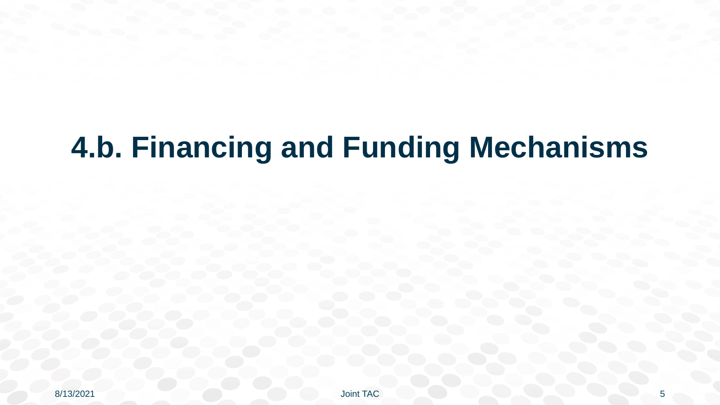### **4.b. Financing and Funding Mechanisms**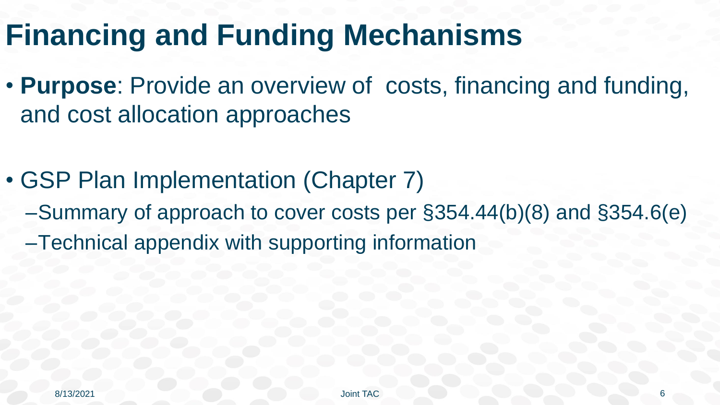#### **Financing and Funding Mechanisms**

- **Purpose**: Provide an overview of costs, financing and funding, and cost allocation approaches
- GSP Plan Implementation (Chapter 7) –Summary of approach to cover costs per §354.44(b)(8) and §354.6(e) –Technical appendix with supporting information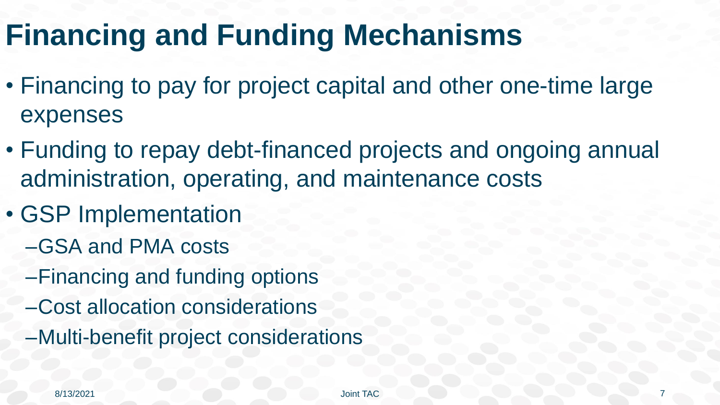#### **Financing and Funding Mechanisms**

- Financing to pay for project capital and other one-time large expenses
- Funding to repay debt-financed projects and ongoing annual administration, operating, and maintenance costs
- GSP Implementation
	- –GSA and PMA costs
	- –Financing and funding options
	- –Cost allocation considerations
	- –Multi-benefit project considerations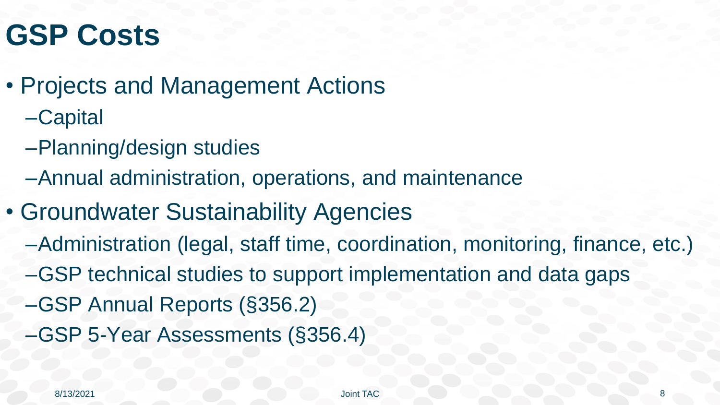#### **GSP Costs**

- Projects and Management Actions
	- –Capital
	- –Planning/design studies
	- –Annual administration, operations, and maintenance
- Groundwater Sustainability Agencies
	- –Administration (legal, staff time, coordination, monitoring, finance, etc.)
	- –GSP technical studies to support implementation and data gaps
	- –GSP Annual Reports (§356.2)
	- –GSP 5-Year Assessments (§356.4)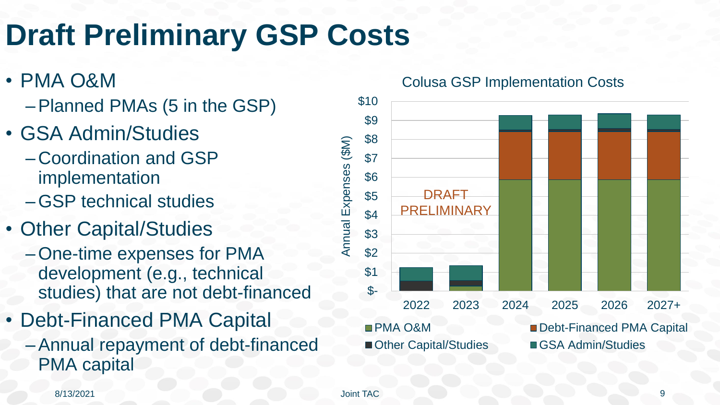## **Draft Preliminary GSP Costs**

- PMA O&M
	- –Planned PMAs (5 in the GSP)
- GSA Admin/Studies
	- –Coordination and GSP implementation
	- –GSP technical studies
- Other Capital/Studies
	- –One-time expenses for PMA development (e.g., technical studies) that are not debt-financed
- Debt-Financed PMA Capital
	- –Annual repayment of debt-financed PMA capital

Colusa GSP Implementation Costs



#### 8/13/2021 Joint TAC 9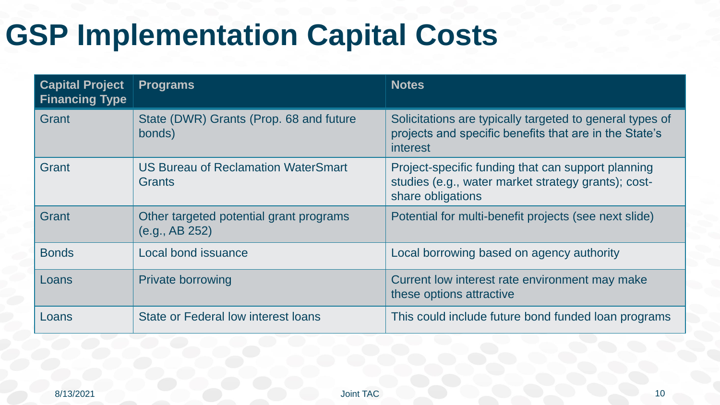### **GSP Implementation Capital Costs**

| <b>Capital Project</b><br><b>Financing Type</b> | <b>Programs</b>                                             | <b>Notes</b>                                                                                                                   |
|-------------------------------------------------|-------------------------------------------------------------|--------------------------------------------------------------------------------------------------------------------------------|
| Grant                                           | State (DWR) Grants (Prop. 68 and future<br>bonds)           | Solicitations are typically targeted to general types of<br>projects and specific benefits that are in the State's<br>interest |
| Grant                                           | <b>US Bureau of Reclamation WaterSmart</b><br><b>Grants</b> | Project-specific funding that can support planning<br>studies (e.g., water market strategy grants); cost-<br>share obligations |
| Grant                                           | Other targeted potential grant programs<br>(e.g., AB 252)   | Potential for multi-benefit projects (see next slide)                                                                          |
| <b>Bonds</b>                                    | <b>Local bond issuance</b>                                  | Local borrowing based on agency authority                                                                                      |
| Loans                                           | <b>Private borrowing</b>                                    | Current low interest rate environment may make<br>these options attractive                                                     |
| Loans                                           | State or Federal low interest loans                         | This could include future bond funded loan programs                                                                            |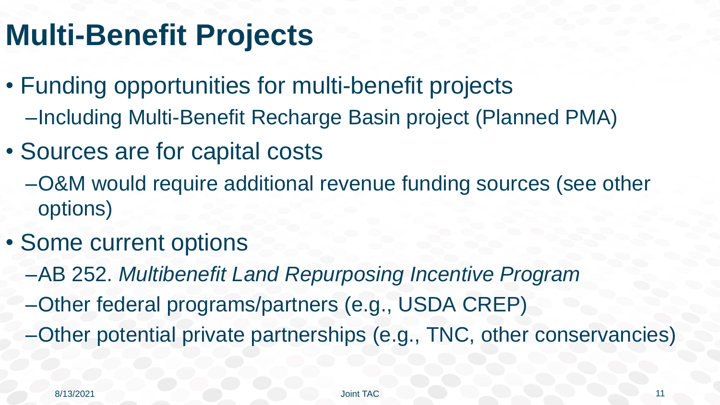#### **Multi-Benefit Projects**

- Funding opportunities for multi-benefit projects –Including Multi-Benefit Recharge Basin project (Planned PMA)
- Sources are for capital costs
	- –O&M would require additional revenue funding sources (see other options)
- Some current options
	- –AB 252. *Multibenefit Land Repurposing Incentive Program*
	- –Other federal programs/partners (e.g., USDA CREP)
	- –Other potential private partnerships (e.g., TNC, other conservancies)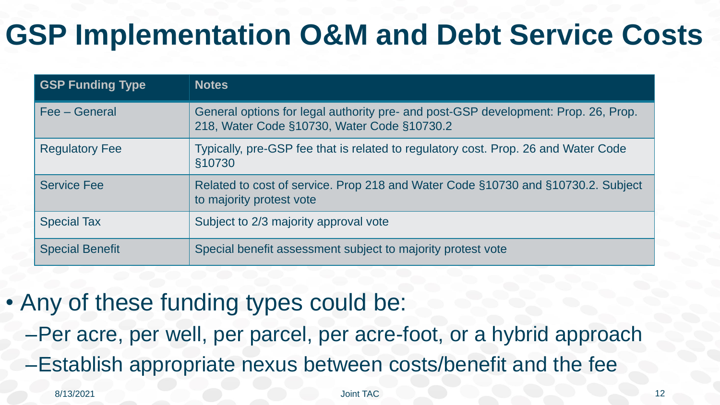### **GSP Implementation O&M and Debt Service Costs**

| <b>GSP Funding Type</b> | <b>Notes</b>                                                                                                                      |
|-------------------------|-----------------------------------------------------------------------------------------------------------------------------------|
| Fee – General           | General options for legal authority pre- and post-GSP development: Prop. 26, Prop.<br>218, Water Code §10730, Water Code §10730.2 |
| <b>Regulatory Fee</b>   | Typically, pre-GSP fee that is related to regulatory cost. Prop. 26 and Water Code<br>§10730                                      |
| <b>Service Fee</b>      | Related to cost of service. Prop 218 and Water Code §10730 and §10730.2. Subject<br>to majority protest vote                      |
| <b>Special Tax</b>      | Subject to 2/3 majority approval vote                                                                                             |
| <b>Special Benefit</b>  | Special benefit assessment subject to majority protest vote                                                                       |

#### • Any of these funding types could be:

–Per acre, per well, per parcel, per acre-foot, or a hybrid approach –Establish appropriate nexus between costs/benefit and the fee

8/13/2021 Joint TAC 12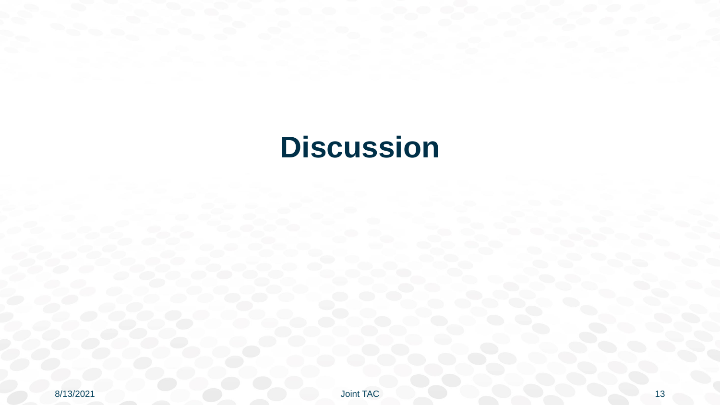#### **Discussion**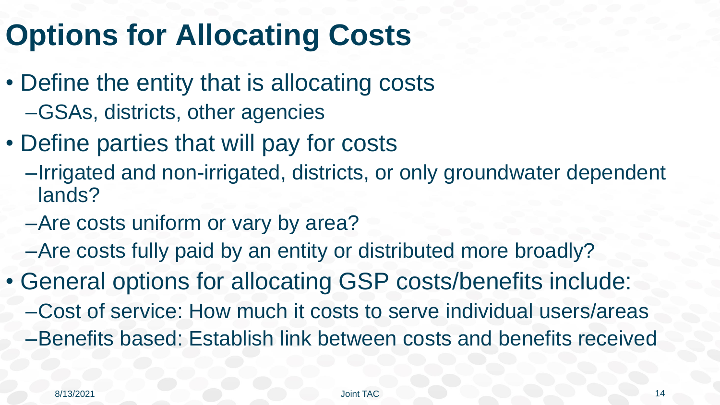#### **Options for Allocating Costs**

- Define the entity that is allocating costs –GSAs, districts, other agencies
- Define parties that will pay for costs
	- –Irrigated and non-irrigated, districts, or only groundwater dependent lands?
	- –Are costs uniform or vary by area?
	- –Are costs fully paid by an entity or distributed more broadly?
- General options for allocating GSP costs/benefits include: –Cost of service: How much it costs to serve individual users/areas –Benefits based: Establish link between costs and benefits received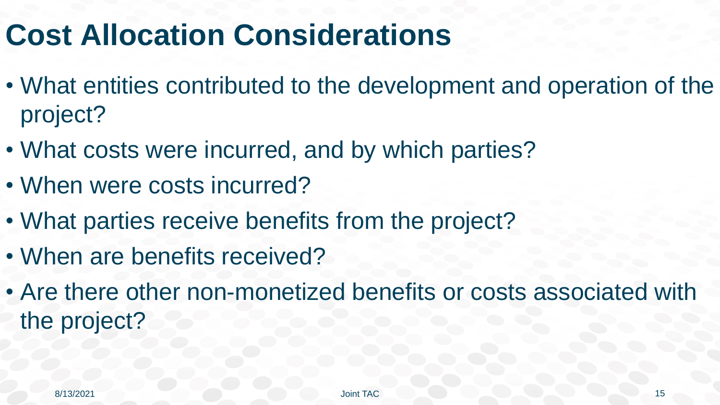#### **Cost Allocation Considerations**

- What entities contributed to the development and operation of the project?
- What costs were incurred, and by which parties?
- When were costs incurred?
- What parties receive benefits from the project?
- When are benefits received?
- Are there other non-monetized benefits or costs associated with the project?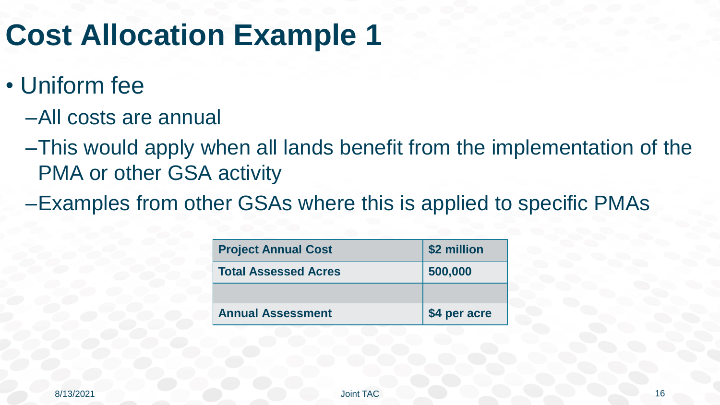#### **Cost Allocation Example 1**

- Uniform fee
	- –All costs are annual
	- –This would apply when all lands benefit from the implementation of the PMA or other GSA activity
	- –Examples from other GSAs where this is applied to specific PMAs

| <b>Project Annual Cost</b>  | \$2 million  |
|-----------------------------|--------------|
| <b>Total Assessed Acres</b> | 500,000      |
|                             |              |
| <b>Annual Assessment</b>    | \$4 per acre |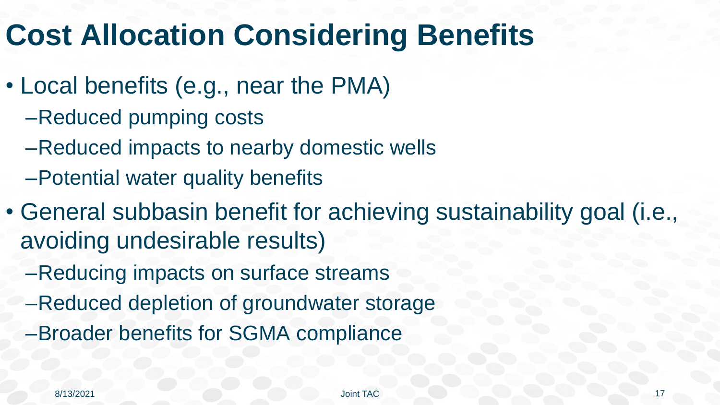#### **Cost Allocation Considering Benefits**

- Local benefits (e.g., near the PMA)
	- –Reduced pumping costs
	- –Reduced impacts to nearby domestic wells
	- –Potential water quality benefits
- General subbasin benefit for achieving sustainability goal (i.e., avoiding undesirable results)
	- –Reducing impacts on surface streams
	- –Reduced depletion of groundwater storage
	- –Broader benefits for SGMA compliance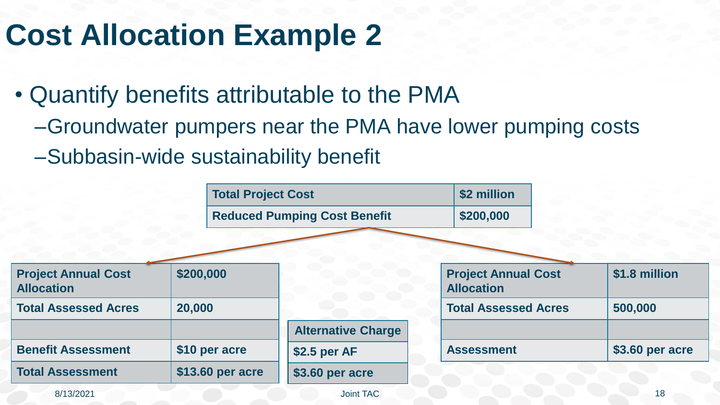#### **Cost Allocation Example 2**

- Quantify benefits attributable to the PMA
	- –Groundwater pumpers near the PMA have lower pumping costs
	- –Subbasin-wide sustainability benefit

|                                                 | <b>Total Project Cost</b> |                                     | \$2 million                                     |                 |
|-------------------------------------------------|---------------------------|-------------------------------------|-------------------------------------------------|-----------------|
|                                                 |                           | <b>Reduced Pumping Cost Benefit</b> | \$200,000                                       |                 |
|                                                 |                           |                                     |                                                 |                 |
| <b>Project Annual Cost</b><br><b>Allocation</b> | \$200,000                 |                                     | <b>Project Annual Cost</b><br><b>Allocation</b> | \$1.8 million   |
| <b>Total Assessed Acres</b>                     | 20,000                    |                                     | <b>Total Assessed Acres</b>                     | 500,000         |
|                                                 |                           | <b>Alternative Charge</b>           |                                                 |                 |
| <b>Benefit Assessment</b>                       | \$10 per acre             | \$2.5 per AF                        | <b>Assessment</b>                               | \$3.60 per acre |
| <b>Total Assessment</b>                         | \$13.60 per acre          | \$3.60 per acre                     |                                                 |                 |
| 8/13/2021                                       |                           | Joint TAC                           |                                                 | 18              |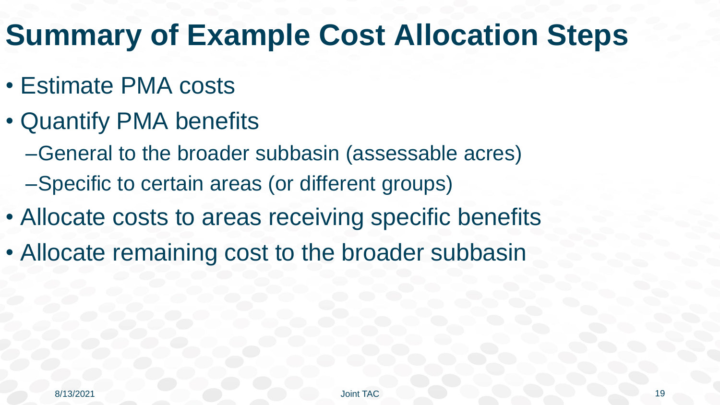### **Summary of Example Cost Allocation Steps**

- Estimate PMA costs
- Quantify PMA benefits
	- –General to the broader subbasin (assessable acres)
	- –Specific to certain areas (or different groups)
- Allocate costs to areas receiving specific benefits
- Allocate remaining cost to the broader subbasin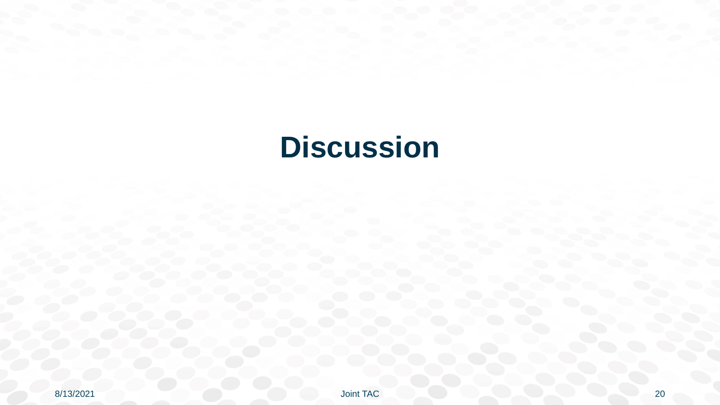#### **Discussion**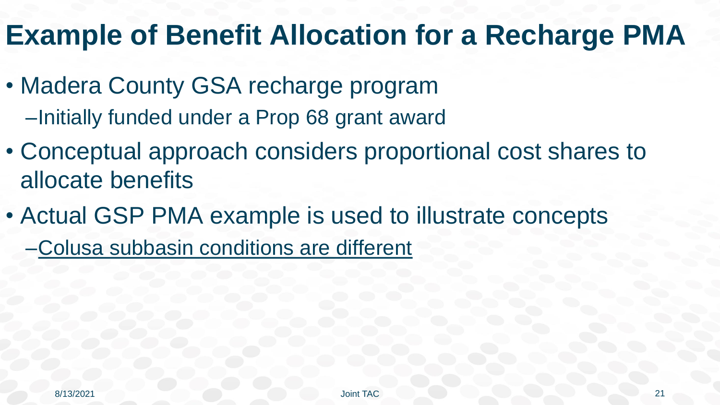#### **Example of Benefit Allocation for a Recharge PMA**

- Madera County GSA recharge program –Initially funded under a Prop 68 grant award
- Conceptual approach considers proportional cost shares to allocate benefits
- Actual GSP PMA example is used to illustrate concepts

–Colusa subbasin conditions are different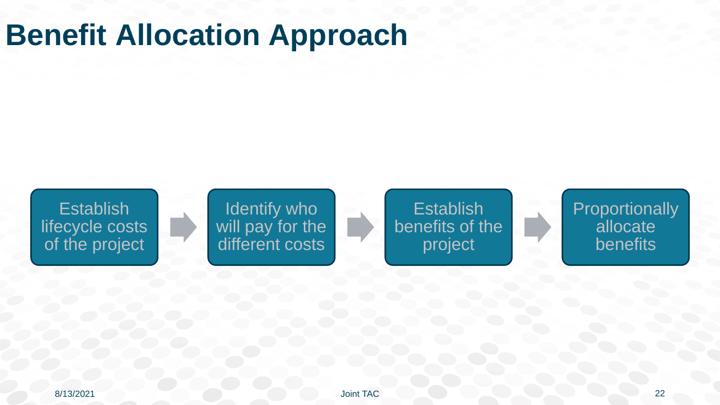#### **Benefit Allocation Approach**



Identify who will pay for the different costs

**Establish** benefits of the project

**Proportionally** allocate benefits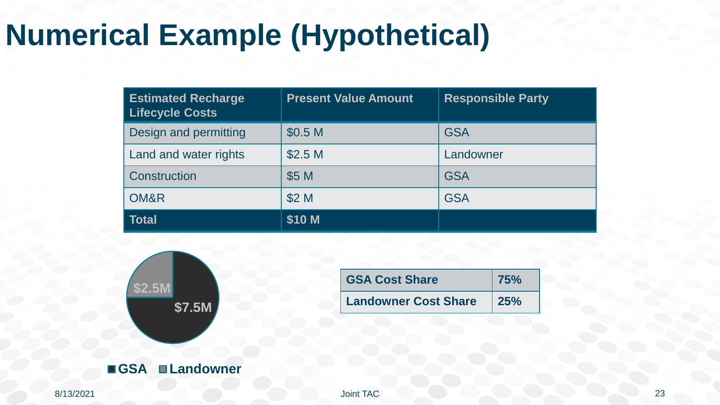## **Numerical Example (Hypothetical)**

| <b>Estimated Recharge</b><br><b>Lifecycle Costs</b> | <b>Present Value Amount</b> | <b>Responsible Party</b> |
|-----------------------------------------------------|-----------------------------|--------------------------|
| Design and permitting                               | \$0.5 M                     | <b>GSA</b>               |
| Land and water rights                               | \$2.5 <sub>M</sub>          | Landowner                |
| Construction                                        | \$5 M                       | <b>GSA</b>               |
| OM&R                                                | \$2 M                       | <b>GSA</b>               |
| <b>Total</b>                                        | \$10 M                      |                          |



| <b>GSA Cost Share</b>       | <b>75%</b>  |
|-----------------------------|-------------|
| <b>Landowner Cost Share</b> | $\vert$ 25% |

8/13/2021 Joint TAC 23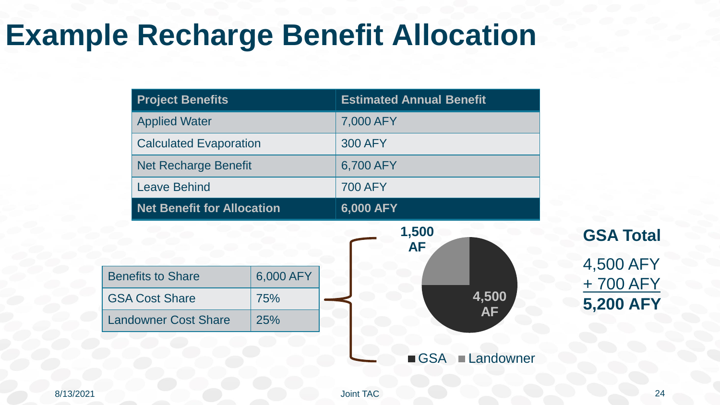#### **Example Recharge Benefit Allocation**

| <b>Project Benefits</b>           | <b>Estimated Annual Benefit</b> |
|-----------------------------------|---------------------------------|
| <b>Applied Water</b>              | 7,000 AFY                       |
| <b>Calculated Evaporation</b>     | <b>300 AFY</b>                  |
| <b>Net Recharge Benefit</b>       | 6,700 AFY                       |
| <b>Leave Behind</b>               | <b>700 AFY</b>                  |
| <b>Net Benefit for Allocation</b> | 6,000 AFY                       |



**GSA Total** 4,500 AFY + 700 AFY **5,200 AFY**

8/13/2021 Joint TAC 24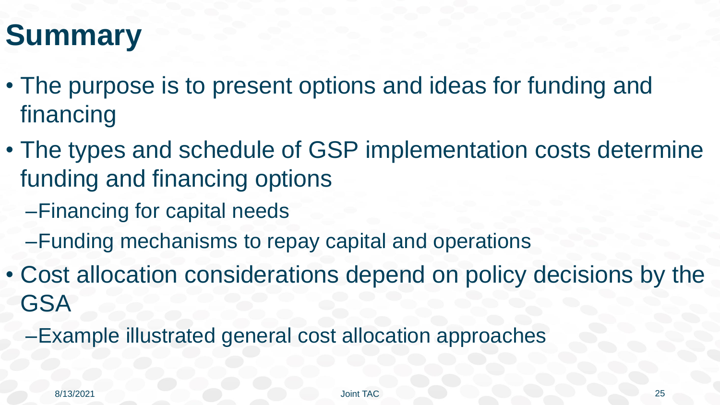## **Summary**

- The purpose is to present options and ideas for funding and financing
- The types and schedule of GSP implementation costs determine funding and financing options
	- –Financing for capital needs
	- –Funding mechanisms to repay capital and operations
- Cost allocation considerations depend on policy decisions by the **GSA** 
	- –Example illustrated general cost allocation approaches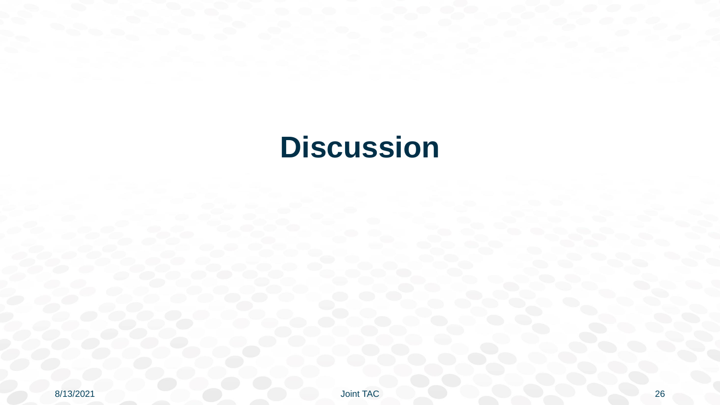#### **Discussion**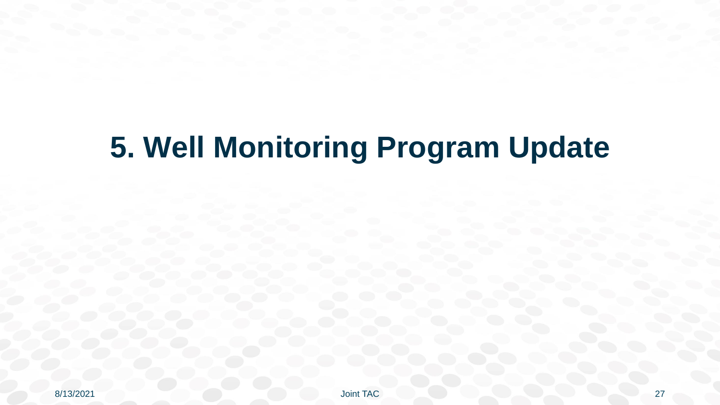# **5. Well Monitoring Program Update**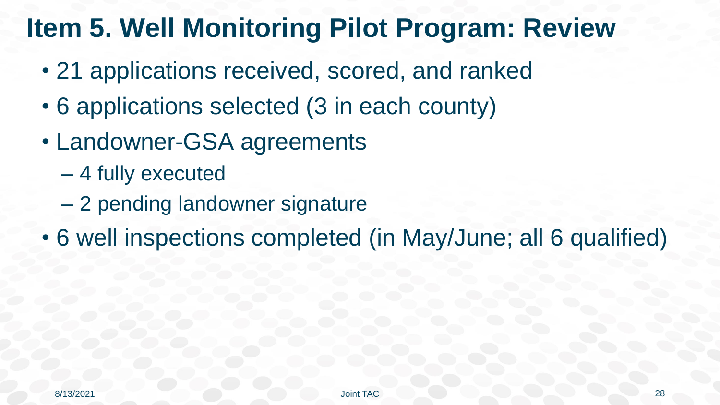#### **Item 5. Well Monitoring Pilot Program: Review**

- 21 applications received, scored, and ranked
- 6 applications selected (3 in each county)
- Landowner-GSA agreements
	- 4 fully executed
	- 2 pending landowner signature
- 6 well inspections completed (in May/June; all 6 qualified)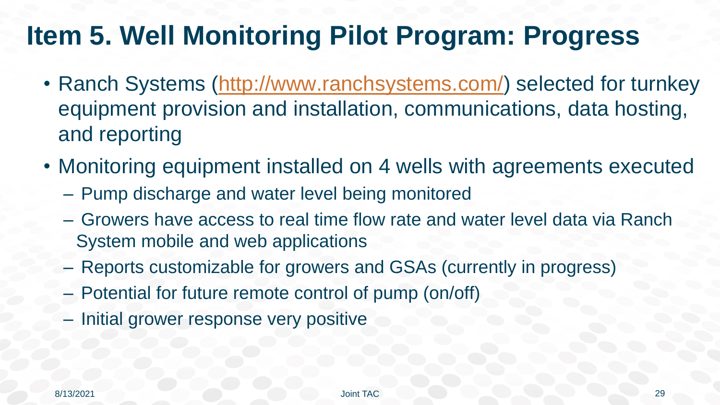#### **Item 5. Well Monitoring Pilot Program: Progress**

- Ranch Systems [\(http://www.ranchsystems.com/\)](http://www.ranchsystems.com/) selected for turnkey equipment provision and installation, communications, data hosting, and reporting
- Monitoring equipment installed on 4 wells with agreements executed
	- Pump discharge and water level being monitored
	- Growers have access to real time flow rate and water level data via Ranch System mobile and web applications
	- Reports customizable for growers and GSAs (currently in progress)
	- Potential for future remote control of pump (on/off)
	- Initial grower response very positive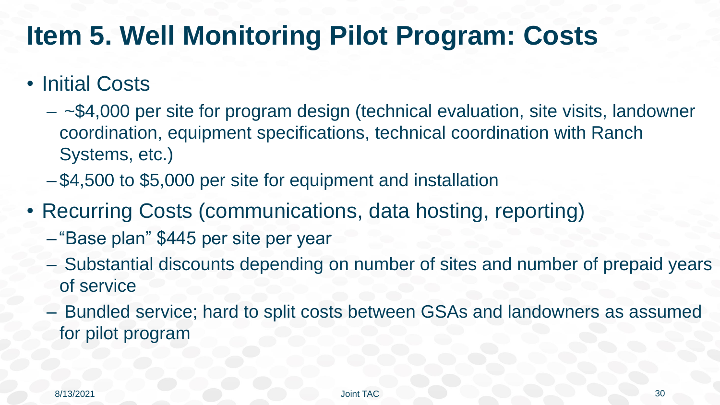#### **Item 5. Well Monitoring Pilot Program: Costs**

#### • Initial Costs

- $-$  ~\$4,000 per site for program design (technical evaluation, site visits, landowner coordination, equipment specifications, technical coordination with Ranch Systems, etc.)
- \$4,500 to \$5,000 per site for equipment and installation
- Recurring Costs (communications, data hosting, reporting)
	- "Base plan" \$445 per site per year
	- Substantial discounts depending on number of sites and number of prepaid years of service
	- Bundled service; hard to split costs between GSAs and landowners as assumed for pilot program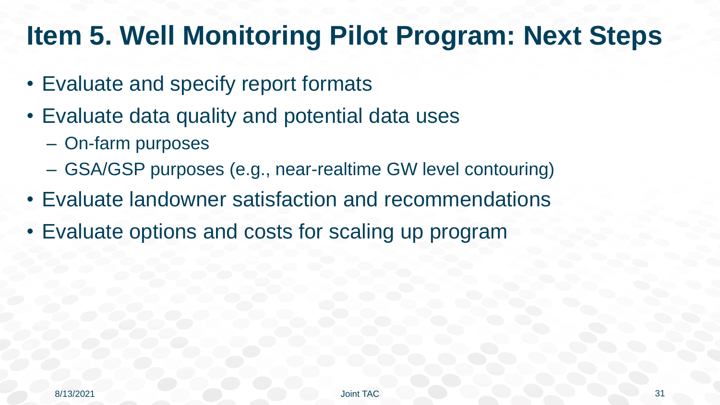#### **Item 5. Well Monitoring Pilot Program: Next Steps**

- Evaluate and specify report formats
- Evaluate data quality and potential data uses
	- On-farm purposes
	- GSA/GSP purposes (e.g., near-realtime GW level contouring)
- Evaluate landowner satisfaction and recommendations
- Evaluate options and costs for scaling up program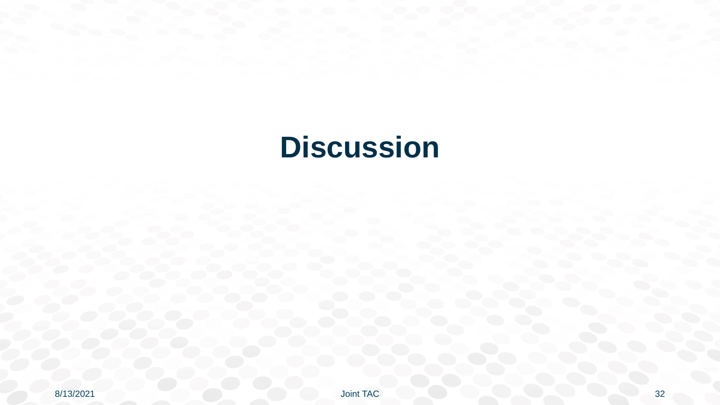#### **Discussion**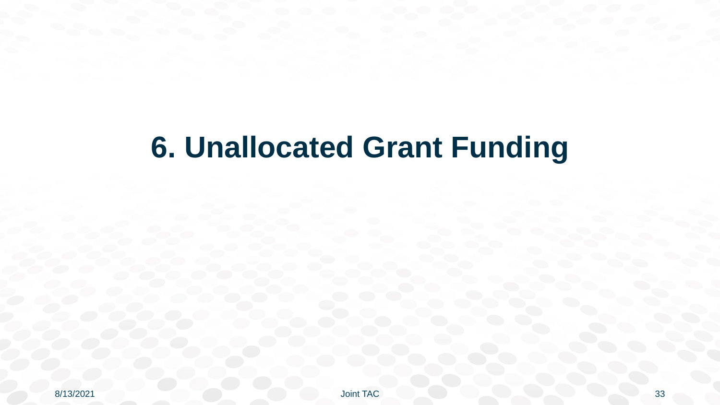#### **6. Unallocated Grant Funding**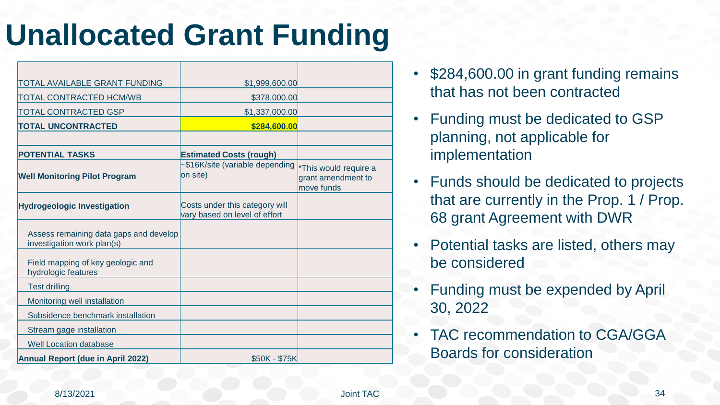#### **Unallocated Grant Funding**

| TOTAL AVAILABLE GRANT FUNDING                                        | \$1,999,600.00                                                  |                                                           |
|----------------------------------------------------------------------|-----------------------------------------------------------------|-----------------------------------------------------------|
| <b>TOTAL CONTRACTED HCM/WB</b>                                       | \$378,000.00                                                    |                                                           |
| TOTAL CONTRACTED GSP                                                 | \$1,337,000.00                                                  |                                                           |
| <b>TOTAL UNCONTRACTED</b>                                            | \$284,600.00                                                    |                                                           |
|                                                                      |                                                                 |                                                           |
| <b>POTENTIAL TASKS</b>                                               | <b>Estimated Costs (rough)</b>                                  |                                                           |
| <b>Well Monitoring Pilot Program</b>                                 | ~\$16K/site (variable depending<br>on site)                     | *This would require a<br>grant amendment to<br>move funds |
| <b>Hydrogeologic Investigation</b>                                   | Costs under this category will<br>vary based on level of effort |                                                           |
| Assess remaining data gaps and develop<br>investigation work plan(s) |                                                                 |                                                           |
| Field mapping of key geologic and<br>hydrologic features             |                                                                 |                                                           |
| <b>Test drilling</b>                                                 |                                                                 |                                                           |
| Monitoring well installation                                         |                                                                 |                                                           |
| Subsidence benchmark installation                                    |                                                                 |                                                           |
| Stream gage installation                                             |                                                                 |                                                           |
| <b>Well Location database</b>                                        |                                                                 |                                                           |
| <b>Annual Report (due in April 2022)</b>                             | \$50K - \$75K                                                   |                                                           |

- \$284,600.00 in grant funding remains that has not been contracted
- Funding must be dedicated to GSP planning, not applicable for implementation
- Funds should be dedicated to projects that are currently in the Prop. 1 / Prop. 68 grant Agreement with DWR
- Potential tasks are listed, others may be considered
- Funding must be expended by April 30, 2022
- TAC recommendation to CGA/GGA Boards for consideration